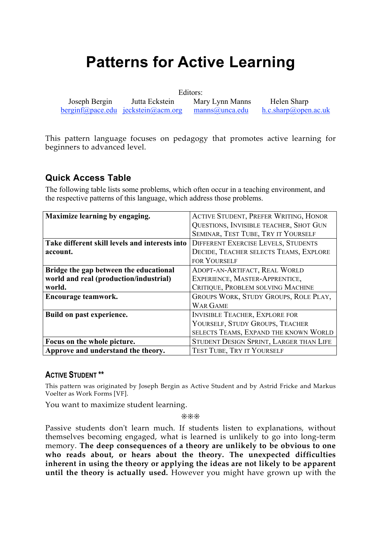# **Patterns for Active Learning**

Editors:

 Joseph Bergin Jutta Eckstein Mary Lynn Manns Helen Sharp berginf@pace.edu jeckstein@acm.org manns@unca.edu h.c.sharp@open.ac.uk

This pattern language focuses on pedagogy that promotes active learning for beginners to advanced level.

# **Quick Access Table**

The following table lists some problems, which often occur in a teaching environment, and the respective patterns of this language, which address those problems.

| Maximize learning by engaging.                 | <b>ACTIVE STUDENT, PREFER WRITING, HONOR</b> |
|------------------------------------------------|----------------------------------------------|
|                                                | QUESTIONS, INVISIBLE TEACHER, SHOT GUN       |
|                                                | SEMINAR, TEST TUBE, TRY IT YOURSELF          |
| Take different skill levels and interests into | <b>DIFFERENT EXERCISE LEVELS, STUDENTS</b>   |
| account.                                       | DECIDE, TEACHER SELECTS TEAMS, EXPLORE       |
|                                                | <b>FOR YOURSELF</b>                          |
| Bridge the gap between the educational         | ADOPT-AN-ARTIFACT, REAL WORLD                |
| world and real (production/industrial)         | EXPERIENCE, MASTER-APPRENTICE,               |
| world.                                         | CRITIQUE, PROBLEM SOLVING MACHINE            |
| Encourage teamwork.                            | GROUPS WORK, STUDY GROUPS, ROLE PLAY,        |
|                                                | <b>WAR GAME</b>                              |
| Build on past experience.                      | <b>INVISIBLE TEACHER, EXPLORE FOR</b>        |
|                                                | YOURSELF, STUDY GROUPS, TEACHER              |
|                                                | SELECTS TEAMS, EXPAND THE KNOWN WORLD        |
| Focus on the whole picture.                    | STUDENT DESIGN SPRINT, LARGER THAN LIFE      |
| Approve and understand the theory.             | <b>TEST TUBE, TRY IT YOURSELF</b>            |

### **ACTIVE STUDENT \*\***

This pattern was originated by Joseph Bergin as Active Student and by Astrid Fricke and Markus Voelter as Work Forms [VF].

You want to maximize student learning.

❊❊❊

Passive students don't learn much. If students listen to explanations, without themselves becoming engaged, what is learned is unlikely to go into long-term memory. **The deep consequences of a theory are unlikely to be obvious to one who reads about, or hears about the theory. The unexpected difficulties inherent in using the theory or applying the ideas are not likely to be apparent until the theory is actually used.** However you might have grown up with the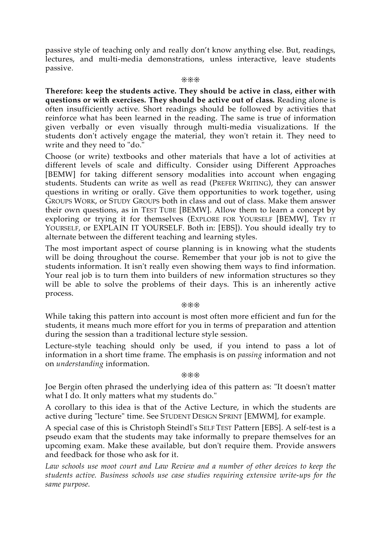passive style of teaching only and really don't know anything else. But, readings, lectures, and multi-media demonstrations, unless interactive, leave students passive.

#### ❊❊❊

**Therefore: keep the students active. They should be active in class, either with questions or with exercises. They should be active out of class.** Reading alone is often insufficiently active. Short readings should be followed by activities that reinforce what has been learned in the reading. The same is true of information given verbally or even visually through multi-media visualizations. If the students don't actively engage the material, they won't retain it. They need to write and they need to "do."

Choose (or write) textbooks and other materials that have a lot of activities at different levels of scale and difficulty. Consider using Different Approaches [BEMW] for taking different sensory modalities into account when engaging students. Students can write as well as read (PREFER WRITING), they can answer questions in writing or orally. Give them opportunities to work together, using GROUPS WORK, or STUDY GROUPS both in class and out of class. Make them answer their own questions, as in TEST TUBE [BEMW]. Allow them to learn a concept by exploring or trying it for themselves (EXPLORE FOR YOURSELF [BEMW], TRY IT YOURSELF, or EXPLAIN IT YOURSELF. Both in: [EBS]). You should ideally try to alternate between the different teaching and learning styles.

The most important aspect of course planning is in knowing what the students will be doing throughout the course. Remember that your job is not to give the students information. It isn't really even showing them ways to find information. Your real job is to turn them into builders of new information structures so they will be able to solve the problems of their days. This is an inherently active process.

#### ❊❊❊

While taking this pattern into account is most often more efficient and fun for the students, it means much more effort for you in terms of preparation and attention during the session than a traditional lecture style session.

Lecture-style teaching should only be used, if you intend to pass a lot of information in a short time frame. The emphasis is on *passing* information and not on *understanding* information.

#### ❊❊❊

Joe Bergin often phrased the underlying idea of this pattern as: "It doesn't matter what I do. It only matters what my students do."

A corollary to this idea is that of the Active Lecture, in which the students are active during "lecture" time. See STUDENT DESIGN SPRINT [EMWM], for example.

A special case of this is Christoph Steindl's SELF TEST Pattern [EBS]. A self-test is a pseudo exam that the students may take informally to prepare themselves for an upcoming exam. Make these available, but don't require them. Provide answers and feedback for those who ask for it.

*Law schools use moot court and Law Review and a number of other devices to keep the students active. Business schools use case studies requiring extensive write-ups for the same purpose.*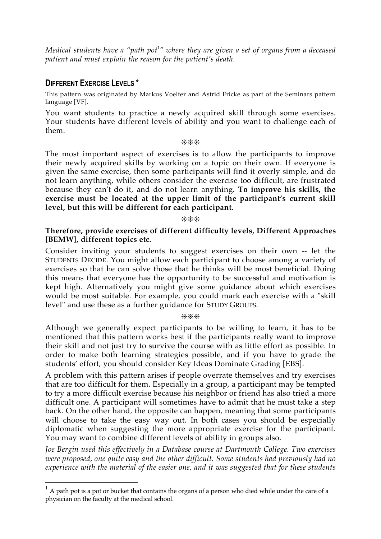*Medical students have a "path pot 1 " where they are given a set of organs from a deceased patient and must explain the reason for the patient's death.*

#### **DIFFERENT EXERCISE LEVELS \***

This pattern was originated by Markus Voelter and Astrid Fricke as part of the Seminars pattern language [VF].

You want students to practice a newly acquired skill through some exercises. Your students have different levels of ability and you want to challenge each of them.

❊❊❊

The most important aspect of exercises is to allow the participants to improve their newly acquired skills by working on a topic on their own. If everyone is given the same exercise, then some participants will find it overly simple, and do not learn anything, while others consider the exercise too difficult, are frustrated because they can't do it, and do not learn anything. **To improve his skills, the exercise must be located at the upper limit of the participant's current skill level, but this will be different for each participant.**

❊❊❊

#### **Therefore, provide exercises of different difficulty levels, Different Approaches [BEMW], different topics etc.**

Consider inviting your students to suggest exercises on their own -- let the STUDENTS DECIDE. You might allow each participant to choose among a variety of exercises so that he can solve those that he thinks will be most beneficial. Doing this means that everyone has the opportunity to be successful and motivation is kept high. Alternatively you might give some guidance about which exercises would be most suitable. For example, you could mark each exercise with a "skill level" and use these as a further guidance for STUDY GROUPS.

❊❊❊

Although we generally expect participants to be willing to learn, it has to be mentioned that this pattern works best if the participants really want to improve their skill and not just try to survive the course with as little effort as possible. In order to make both learning strategies possible, and if you have to grade the students' effort, you should consider Key Ideas Dominate Grading [EBS].

A problem with this pattern arises if people overrate themselves and try exercises that are too difficult for them. Especially in a group, a participant may be tempted to try a more difficult exercise because his neighbor or friend has also tried a more difficult one. A participant will sometimes have to admit that he must take a step back. On the other hand, the opposite can happen, meaning that some participants will choose to take the easy way out. In both cases you should be especially diplomatic when suggesting the more appropriate exercise for the participant. You may want to combine different levels of ability in groups also.

*Joe Bergin used this effectively in a Database course at Dartmouth College. Two exercises were proposed, one quite easy and the other difficult. Some students had previously had no experience with the material of the easier one, and it was suggested that for these students*

 <sup>1</sup> A path pot is a pot or bucket that contains the organs of a person who died while under the care of a physician on the faculty at the medical school.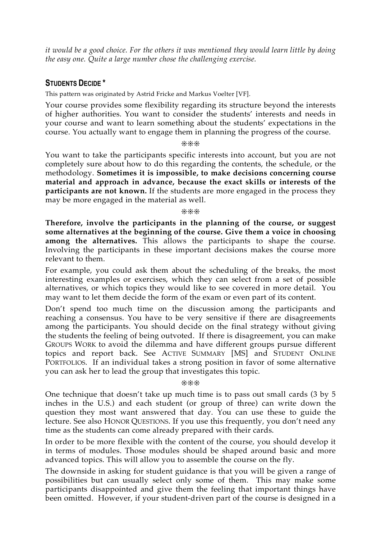*it would be a good choice. For the others it was mentioned they would learn little by doing the easy one. Quite a large number chose the challenging exercise.*

#### **STUDENTS DECIDE \***

This pattern was originated by Astrid Fricke and Markus Voelter [VF].

Your course provides some flexibility regarding its structure beyond the interests of higher authorities. You want to consider the students' interests and needs in your course and want to learn something about the students' expectations in the course. You actually want to engage them in planning the progress of the course.

#### ❊❊❊

You want to take the participants specific interests into account, but you are not completely sure about how to do this regarding the contents, the schedule, or the methodology. **Sometimes it is impossible, to make decisions concerning course material and approach in advance, because the exact skills or interests of the participants are not known.** If the students are more engaged in the process they may be more engaged in the material as well.

❊❊❊

**Therefore, involve the participants in the planning of the course, or suggest some alternatives at the beginning of the course. Give them a voice in choosing among the alternatives.** This allows the participants to shape the course. Involving the participants in these important decisions makes the course more relevant to them.

For example, you could ask them about the scheduling of the breaks, the most interesting examples or exercises, which they can select from a set of possible alternatives, or which topics they would like to see covered in more detail. You may want to let them decide the form of the exam or even part of its content.

Don't spend too much time on the discussion among the participants and reaching a consensus. You have to be very sensitive if there are disagreements among the participants. You should decide on the final strategy without giving the students the feeling of being outvoted. If there is disagreement, you can make GROUPS WORK to avoid the dilemma and have different groups pursue different topics and report back. See ACTIVE SUMMARY [MS] and STUDENT ONLINE PORTFOLIOS. If an individual takes a strong position in favor of some alternative you can ask her to lead the group that investigates this topic.

#### ❊❊❊

One technique that doesn't take up much time is to pass out small cards (3 by 5 inches in the U.S.) and each student (or group of three) can write down the question they most want answered that day. You can use these to guide the lecture. See also HONOR QUESTIONS. If you use this frequently, you don't need any time as the students can come already prepared with their cards.

In order to be more flexible with the content of the course, you should develop it in terms of modules. Those modules should be shaped around basic and more advanced topics. This will allow you to assemble the course on the fly.

The downside in asking for student guidance is that you will be given a range of possibilities but can usually select only some of them. This may make some participants disappointed and give them the feeling that important things have been omitted. However, if your student-driven part of the course is designed in a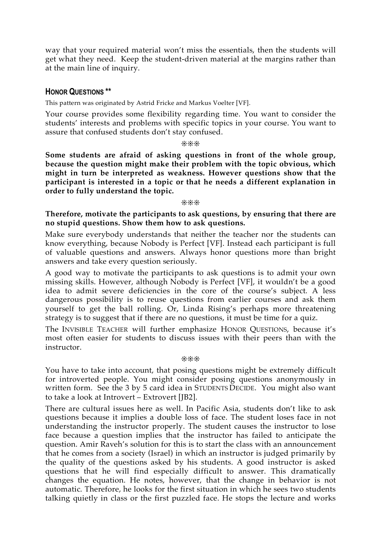way that your required material won't miss the essentials, then the students will get what they need. Keep the student-driven material at the margins rather than at the main line of inquiry.

#### **HONOR QUESTIONS \*\***

This pattern was originated by Astrid Fricke and Markus Voelter [VF].

Your course provides some flexibility regarding time. You want to consider the students' interests and problems with specific topics in your course. You want to assure that confused students don't stay confused.

❊❊❊

**Some students are afraid of asking questions in front of the whole group, because the question might make their problem with the topic obvious, which might in turn be interpreted as weakness. However questions show that the participant is interested in a topic or that he needs a different explanation in order to fully understand the topic.**

#### ❊❊❊

#### **Therefore, motivate the participants to ask questions, by ensuring that there are no stupid questions. Show them how to ask questions.**

Make sure everybody understands that neither the teacher nor the students can know everything, because Nobody is Perfect [VF]. Instead each participant is full of valuable questions and answers. Always honor questions more than bright answers and take every question seriously.

A good way to motivate the participants to ask questions is to admit your own missing skills. However, although Nobody is Perfect [VF], it wouldn't be a good idea to admit severe deficiencies in the core of the course's subject. A less dangerous possibility is to reuse questions from earlier courses and ask them yourself to get the ball rolling. Or, Linda Rising's perhaps more threatening strategy is to suggest that if there are no questions, it must be time for a quiz.

The INVISIBLE TEACHER will further emphasize HONOR QUESTIONS, because it's most often easier for students to discuss issues with their peers than with the instructor.

❊❊❊

You have to take into account, that posing questions might be extremely difficult for introverted people. You might consider posing questions anonymously in written form. See the 3 by 5 card idea in STUDENTS DECIDE. You might also want to take a look at Introvert – Extrovert [JB2].

There are cultural issues here as well. In Pacific Asia, students don't like to ask questions because it implies a double loss of face. The student loses face in not understanding the instructor properly. The student causes the instructor to lose face because a question implies that the instructor has failed to anticipate the question. Amir Raveh's solution for this is to start the class with an announcement that he comes from a society (Israel) in which an instructor is judged primarily by the quality of the questions asked by his students. A good instructor is asked questions that he will find especially difficult to answer. This dramatically changes the equation. He notes, however, that the change in behavior is not automatic. Therefore, he looks for the first situation in which he sees two students talking quietly in class or the first puzzled face. He stops the lecture and works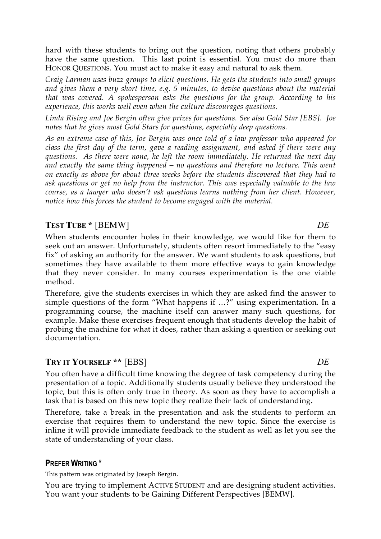hard with these students to bring out the question, noting that others probably have the same question. This last point is essential. You must do more than HONOR QUESTIONS. You must act to make it easy and natural to ask them.

*Craig Larman uses buzz groups to elicit questions. He gets the students into small groups and gives them a very short time, e.g. 5 minutes, to devise questions about the material that was covered. A spokesperson asks the questions for the group. According to his experience, this works well even when the culture discourages questions.*

*Linda Rising and Joe Bergin often give prizes for questions. See also Gold Star [EBS]. Joe notes that he gives most Gold Stars for questions, especially deep questions.*

*As an extreme case of this, Joe Bergin was once told of a law professor who appeared for class the first day of the term, gave a reading assignment, and asked if there were any questions. As there were none, he left the room immediately. He returned the next day and exactly the same thing happened – no questions and therefore no lecture. This went on exactly as above for about three weeks before the students discovered that they had to ask questions or get no help from the instructor. This was especially valuable to the law course, as a lawyer who doesn't ask questions learns nothing from her client. However, notice how this forces the student to become engaged with the material.*

# **TEST TUBE \*** [BEMW]*DE*

When students encounter holes in their knowledge, we would like for them to seek out an answer. Unfortunately, students often resort immediately to the "easy fix" of asking an authority for the answer. We want students to ask questions, but sometimes they have available to them more effective ways to gain knowledge that they never consider. In many courses experimentation is the one viable method.

Therefore, give the students exercises in which they are asked find the answer to simple questions of the form "What happens if …?" using experimentation. In a programming course, the machine itself can answer many such questions, for example. Make these exercises frequent enough that students develop the habit of probing the machine for what it does, rather than asking a question or seeking out documentation.

# **TRY IT YOURSELF \*\*** [EBS] *DE*

You often have a difficult time knowing the degree of task competency during the presentation of a topic. Additionally students usually believe they understood the topic, but this is often only true in theory. As soon as they have to accomplish a task that is based on this new topic they realize their lack of understanding**.**

Therefore, take a break in the presentation and ask the students to perform an exercise that requires them to understand the new topic. Since the exercise is inline it will provide immediate feedback to the student as well as let you see the state of understanding of your class.

# **PREFER WRITING \***

This pattern was originated by Joseph Bergin.

You are trying to implement ACTIVE STUDENT and are designing student activities. You want your students to be Gaining Different Perspectives [BEMW].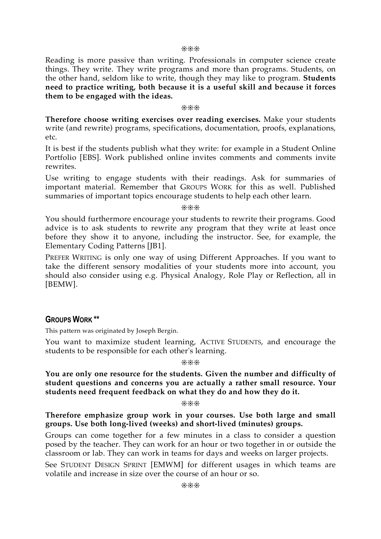❊❊❊

Reading is more passive than writing. Professionals in computer science create things. They write. They write programs and more than programs. Students, on the other hand, seldom like to write, though they may like to program. **Students need to practice writing, both because it is a useful skill and because it forces them to be engaged with the ideas.**

❊❊❊

**Therefore choose writing exercises over reading exercises.** Make your students write (and rewrite) programs, specifications, documentation, proofs, explanations, etc.

It is best if the students publish what they write: for example in a Student Online Portfolio [EBS]. Work published online invites comments and comments invite rewrites.

Use writing to engage students with their readings. Ask for summaries of important material. Remember that GROUPS WORK for this as well. Published summaries of important topics encourage students to help each other learn.

❊❊❊

You should furthermore encourage your students to rewrite their programs. Good advice is to ask students to rewrite any program that they write at least once before they show it to anyone, including the instructor. See, for example, the Elementary Coding Patterns [JB1].

PREFER WRITING is only one way of using Different Approaches. If you want to take the different sensory modalities of your students more into account, you should also consider using e.g. Physical Analogy, Role Play or Reflection, all in [BEMW].

### **GROUPS WORK \*\***

This pattern was originated by Joseph Bergin.

You want to maximize student learning, ACTIVE STUDENTS, and encourage the students to be responsible for each other's learning.

❊❊❊

**You are only one resource for the students. Given the number and difficulty of student questions and concerns you are actually a rather small resource. Your students need frequent feedback on what they do and how they do it.**

❊❊❊

**Therefore emphasize group work in your courses. Use both large and small groups. Use both long-lived (weeks) and short-lived (minutes) groups.**

Groups can come together for a few minutes in a class to consider a question posed by the teacher. They can work for an hour or two together in or outside the classroom or lab. They can work in teams for days and weeks on larger projects.

See STUDENT DESIGN SPRINT [EMWM] for different usages in which teams are volatile and increase in size over the course of an hour or so.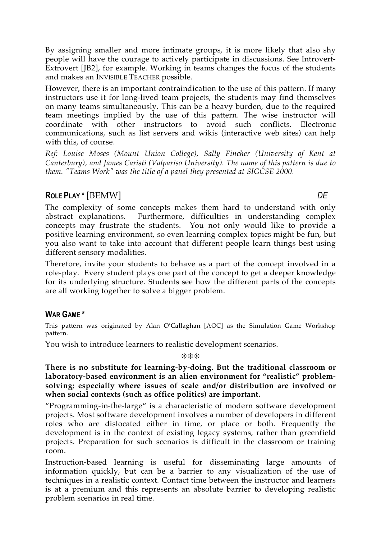By assigning smaller and more intimate groups, it is more likely that also shy people will have the courage to actively participate in discussions. See Introvert-Extrovert [JB2], for example. Working in teams changes the focus of the students and makes an INVISIBLE TEACHER possible.

However, there is an important contraindication to the use of this pattern. If many instructors use it for long-lived team projects, the students may find themselves on many teams simultaneously. This can be a heavy burden, due to the required team meetings implied by the use of this pattern. The wise instructor will coordinate with other instructors to avoid such conflicts. Electronic communications, such as list servers and wikis (interactive web sites) can help with this, of course.

*Ref: Louise Moses (Mount Union College), Sally Fincher (University of Kent at Canterbury), and James Caristi (Valpariso University). The name of this pattern is due to them. "Teams Work" was the title of a panel they presented at SIGCSE 2000.*

# **ROLE PLAY \*** [BEMW] *DE*

The complexity of some concepts makes them hard to understand with only abstract explanations. Furthermore, difficulties in understanding complex concepts may frustrate the students. You not only would like to provide a positive learning environment, so even learning complex topics might be fun, but you also want to take into account that different people learn things best using different sensory modalities.

Therefore, invite your students to behave as a part of the concept involved in a role-play. Every student plays one part of the concept to get a deeper knowledge for its underlying structure. Students see how the different parts of the concepts are all working together to solve a bigger problem.

# **WAR GAME \***

This pattern was originated by Alan O'Callaghan [AOC] as the Simulation Game Workshop pattern.

You wish to introduce learners to realistic development scenarios.

#### ❊❊❊

**There is no substitute for learning-by-doing. But the traditional classroom or laboratory-based environment is an alien environment for "realistic" problemsolving; especially where issues of scale and/or distribution are involved or when social contexts (such as office politics) are important.**

"Programming-in-the-large" is a characteristic of modern software development projects. Most software development involves a number of developers in different roles who are dislocated either in time, or place or both. Frequently the development is in the context of existing legacy systems, rather than greenfield projects. Preparation for such scenarios is difficult in the classroom or training room.

Instruction-based learning is useful for disseminating large amounts of information quickly, but can be a barrier to any visualization of the use of techniques in a realistic context. Contact time between the instructor and learners is at a premium and this represents an absolute barrier to developing realistic problem scenarios in real time.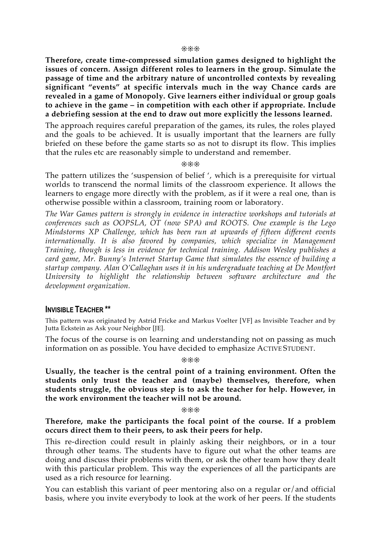**Therefore, create time-compressed simulation games designed to highlight the issues of concern. Assign different roles to learners in the group. Simulate the passage of time and the arbitrary nature of uncontrolled contexts by revealing significant "events" at specific intervals much in the way Chance cards are revealed in a game of Monopoly. Give learners either individual or group goals to achieve in the game – in competition with each other if appropriate. Include a debriefing session at the end to draw out more explicitly the lessons learned.**

The approach requires careful preparation of the games, its rules, the roles played and the goals to be achieved. It is usually important that the learners are fully briefed on these before the game starts so as not to disrupt its flow. This implies that the rules etc are reasonably simple to understand and remember.

❊❊❊

The pattern utilizes the 'suspension of belief ', which is a prerequisite for virtual worlds to transcend the normal limits of the classroom experience. It allows the learners to engage more directly with the problem, as if it were a real one, than is otherwise possible within a classroom, training room or laboratory.

*The War Games pattern is strongly in evidence in interactive workshops and tutorials at conferences such as OOPSLA, OT (now SPA) and ROOTS. One example is the Lego Mindstorms XP Challenge, which has been run at upwards of fifteen different events internationally. It is also favored by companies, which specialize in Management Training, though is less in evidence for technical training. Addison Wesley publishes a card game, Mr. Bunny's Internet Startup Game that simulates the essence of building a startup company. Alan O'Callaghan uses it in his undergraduate teaching at De Montfort University to highlight the relationship between software architecture and the development organization.*

#### **INVISIBLE TEACHER \*\***

This pattern was originated by Astrid Fricke and Markus Voelter [VF] as Invisible Teacher and by Jutta Eckstein as Ask your Neighbor [JE].

The focus of the course is on learning and understanding not on passing as much information on as possible. You have decided to emphasize ACTIVE STUDENT.

❊❊❊

**Usually, the teacher is the central point of a training environment. Often the students only trust the teacher and (maybe) themselves, therefore, when students struggle, the obvious step is to ask the teacher for help. However, in the work environment the teacher will not be around.**

❊❊❊

#### **Therefore, make the participants the focal point of the course. If a problem occurs direct them to their peers, to ask their peers for help.**

This re-direction could result in plainly asking their neighbors, or in a tour through other teams. The students have to figure out what the other teams are doing and discuss their problems with them, or ask the other team how they dealt with this particular problem. This way the experiences of all the participants are used as a rich resource for learning.

You can establish this variant of peer mentoring also on a regular or/and official basis, where you invite everybody to look at the work of her peers. If the students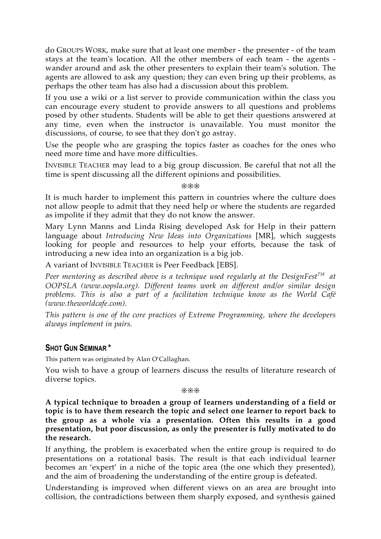do GROUPS WORK, make sure that at least one member - the presenter - of the team stays at the team's location. All the other members of each team - the agents wander around and ask the other presenters to explain their team's solution. The agents are allowed to ask any question; they can even bring up their problems, as perhaps the other team has also had a discussion about this problem.

If you use a wiki or a list server to provide communication within the class you can encourage every student to provide answers to all questions and problems posed by other students. Students will be able to get their questions answered at any time, even when the instructor is unavailable. You must monitor the discussions, of course, to see that they don't go astray.

Use the people who are grasping the topics faster as coaches for the ones who need more time and have more difficulties.

INVISIBLE TEACHER may lead to a big group discussion. Be careful that not all the time is spent discussing all the different opinions and possibilities.

❊❊❊

It is much harder to implement this pattern in countries where the culture does not allow people to admit that they need help or where the students are regarded as impolite if they admit that they do not know the answer.

Mary Lynn Manns and Linda Rising developed Ask for Help in their pattern language about *Introducing New Ideas into Organizations* [MR], which suggests looking for people and resources to help your efforts, because the task of introducing a new idea into an organization is a big job.

A variant of INVISIBLE TEACHER is Peer Feedback [EBS].

*Peer mentoring as described above is a technique used regularly at the DesignFest TM at OOPSLA (www.oopsla.org). Different teams work on different and/or similar design problems. This is also a part of a facilitation technique know as the World Café (www.theworldcafe.com).*

*This pattern is one of the core practices of Extreme Programming, where the developers always implement in pairs.*

### **SHOT GUN SEMINAR \***

This pattern was originated by Alan O'Callaghan.

You wish to have a group of learners discuss the results of literature research of diverse topics.

❊❊❊

**A typical technique to broaden a group of learners understanding of a field or topic is to have them research the topic and select one learner to report back to the group as a whole via a presentation. Often this results in a good presentation, but poor discussion, as only the presenter is fully motivated to do the research.**

If anything, the problem is exacerbated when the entire group is required to do presentations on a rotational basis. The result is that each individual learner becomes an 'expert' in a niche of the topic area (the one which they presented), and the aim of broadening the understanding of the entire group is defeated.

Understanding is improved when different views on an area are brought into collision, the contradictions between them sharply exposed, and synthesis gained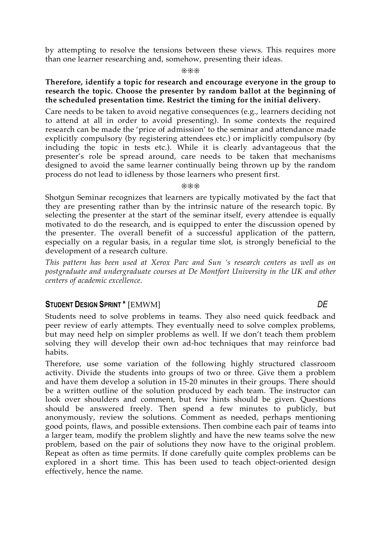by attempting to resolve the tensions between these views. This requires more than one learner researching and, somehow, presenting their ideas.

❊❊❊

#### **Therefore, identify a topic for research and encourage everyone in the group to research the topic. Choose the presenter by random ballot at the beginning of the scheduled presentation time. Restrict the timing for the initial delivery.**

Care needs to be taken to avoid negative consequences (e.g., learners deciding not to attend at all in order to avoid presenting). In some contexts the required research can be made the 'price of admission' to the seminar and attendance made explicitly compulsory (by registering attendees etc.) or implicitly compulsory (by including the topic in tests etc.). While it is clearly advantageous that the presenter's role be spread around, care needs to be taken that mechanisms designed to avoid the same learner continually being thrown up by the random process do not lead to idleness by those learners who present first.

❊❊❊

Shotgun Seminar recognizes that learners are typically motivated by the fact that they are presenting rather than by the intrinsic nature of the research topic. By selecting the presenter at the start of the seminar itself, every attendee is equally motivated to do the research, and is equipped to enter the discussion opened by the presenter. The overall benefit of a successful application of the pattern, especially on a regular basis, in a regular time slot, is strongly beneficial to the development of a research culture.

*This pattern has been used at Xerox Parc and Sun 's research centers as well as on postgraduate and undergraduate courses at De Montfort University in the UK and other centers of academic excellence.*

# **STUDENT DESIGN SPRINT \*** [EMWM] *DE*

Students need to solve problems in teams. They also need quick feedback and peer review of early attempts. They eventually need to solve complex problems, but may need help on simpler problems as well. If we don't teach them problem solving they will develop their own ad-hoc techniques that may reinforce bad habits.

Therefore, use some variation of the following highly structured classroom activity. Divide the students into groups of two or three. Give them a problem and have them develop a solution in 15-20 minutes in their groups. There should be a written outline of the solution produced by each team. The instructor can look over shoulders and comment, but few hints should be given. Questions should be answered freely. Then spend a few minutes to publicly, but anonymously, review the solutions. Comment as needed, perhaps mentioning good points, flaws, and possible extensions. Then combine each pair of teams into a larger team, modify the problem slightly and have the new teams solve the new problem, based on the pair of solutions they now have to the original problem. Repeat as often as time permits. If done carefully quite complex problems can be explored in a short time. This has been used to teach object-oriented design effectively, hence the name.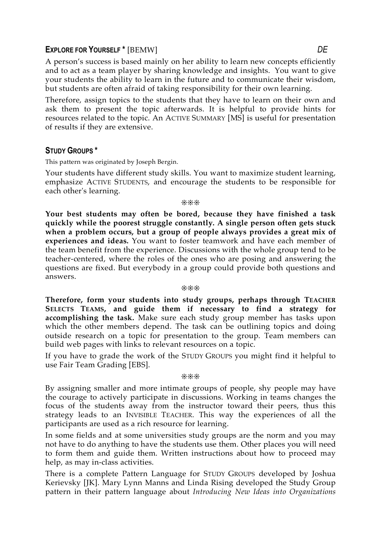#### **EXPLORE FOR YOURSELF \*** [BEMW] *DE*

A person's success is based mainly on her ability to learn new concepts efficiently and to act as a team player by sharing knowledge and insights. You want to give your students the ability to learn in the future and to communicate their wisdom, but students are often afraid of taking responsibility for their own learning.

Therefore, assign topics to the students that they have to learn on their own and ask them to present the topic afterwards. It is helpful to provide hints for resources related to the topic. An ACTIVE SUMMARY [MS] is useful for presentation of results if they are extensive.

#### **STUDY GROUPS \***

This pattern was originated by Joseph Bergin.

Your students have different study skills. You want to maximize student learning, emphasize ACTIVE STUDENTS, and encourage the students to be responsible for each other's learning.

#### ❊❊❊

**Your best students may often be bored, because they have finished a task quickly while the poorest struggle constantly. A single person often gets stuck when a problem occurs, but a group of people always provides a great mix of experiences and ideas.** You want to foster teamwork and have each member of the team benefit from the experience. Discussions with the whole group tend to be teacher-centered, where the roles of the ones who are posing and answering the questions are fixed. But everybody in a group could provide both questions and answers.

#### ❊❊❊

**Therefore, form your students into study groups, perhaps through TEACHER SELECTS TEAMS, and guide them if necessary to find a strategy for accomplishing the task.** Make sure each study group member has tasks upon which the other members depend. The task can be outlining topics and doing outside research on a topic for presentation to the group. Team members can build web pages with links to relevant resources on a topic.

If you have to grade the work of the STUDY GROUPS you might find it helpful to use Fair Team Grading [EBS].

#### ❊❊❊

By assigning smaller and more intimate groups of people, shy people may have the courage to actively participate in discussions. Working in teams changes the focus of the students away from the instructor toward their peers, thus this strategy leads to an INVISIBLE TEACHER. This way the experiences of all the participants are used as a rich resource for learning.

In some fields and at some universities study groups are the norm and you may not have to do anything to have the students use them. Other places you will need to form them and guide them. Written instructions about how to proceed may help, as may in-class activities.

There is a complete Pattern Language for STUDY GROUPS developed by Joshua Kerievsky [JK]. Mary Lynn Manns and Linda Rising developed the Study Group pattern in their pattern language about *Introducing New Ideas into Organizations*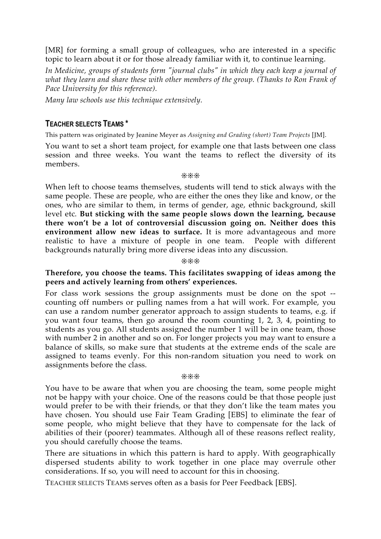[MR] for forming a small group of colleagues, who are interested in a specific topic to learn about it or for those already familiar with it, to continue learning.

*In Medicine, groups of students form "journal clubs" in which they each keep a journal of what they learn and share these with other members of the group. (Thanks to Ron Frank of Pace University for this reference).*

*Many law schools use this technique extensively.*

### **TEACHER SELECTS TEAMS \***

This pattern was originated by Jeanine Meyer as *Assigning and Grading (short) Team Projects* [JM].

You want to set a short team project, for example one that lasts between one class session and three weeks. You want the teams to reflect the diversity of its members.

❊❊❊

When left to choose teams themselves, students will tend to stick always with the same people. These are people, who are either the ones they like and know, or the ones, who are similar to them, in terms of gender, age, ethnic background, skill level etc. **But sticking with the same people slows down the learning, because there won't be a lot of controversial discussion going on. Neither does this environment allow new ideas to surface.** It is more advantageous and more realistic to have a mixture of people in one team. People with different backgrounds naturally bring more diverse ideas into any discussion.

❊❊❊

#### **Therefore, you choose the teams. This facilitates swapping of ideas among the peers and actively learning from others' experiences.**

For class work sessions the group assignments must be done on the spot - counting off numbers or pulling names from a hat will work. For example, you can use a random number generator approach to assign students to teams, e.g. if you want four teams, then go around the room counting 1, 2, 3, 4, pointing to students as you go. All students assigned the number 1 will be in one team, those with number 2 in another and so on. For longer projects you may want to ensure a balance of skills, so make sure that students at the extreme ends of the scale are assigned to teams evenly. For this non-random situation you need to work on assignments before the class.

❊❊❊

You have to be aware that when you are choosing the team, some people might not be happy with your choice. One of the reasons could be that those people just would prefer to be with their friends, or that they don't like the team mates you have chosen. You should use Fair Team Grading [EBS] to eliminate the fear of some people, who might believe that they have to compensate for the lack of abilities of their (poorer) teammates. Although all of these reasons reflect reality, you should carefully choose the teams.

There are situations in which this pattern is hard to apply. With geographically dispersed students ability to work together in one place may overrule other considerations. If so, you will need to account for this in choosing.

TEACHER SELECTS TEAMS serves often as a basis for Peer Feedback [EBS].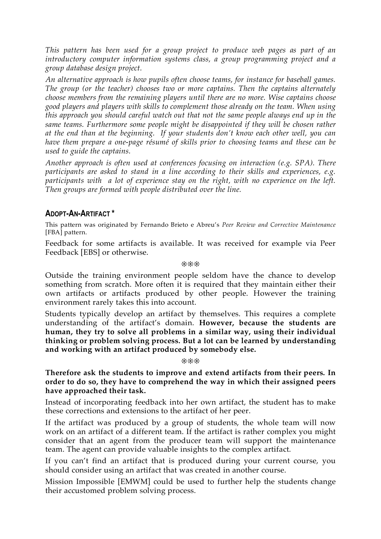*This pattern has been used for a group project to produce web pages as part of an introductory computer information systems class, a group programming project and a group database design project.*

*An alternative approach is how pupils often choose teams, for instance for baseball games. The group (or the teacher) chooses two or more captains. Then the captains alternately choose members from the remaining players until there are no more. Wise captains choose good players and players with skills to complement those already on the team. When using this approach you should careful watch out that not the same people always end up in the same teams. Furthermore some people might be disappointed if they will be chosen rather at the end than at the beginning. If your students don't know each other well, you can have them prepare a one-page résumé of skills prior to choosing teams and these can be used to guide the captains.*

*Another approach is often used at conferences focusing on interaction (e.g. SPA). There participants are asked to stand in a line according to their skills and experiences, e.g. participants with a lot of experience stay on the right, with no experience on the left. Then groups are formed with people distributed over the line.*

# **ADOPT-AN-ARTIFACT \***

This pattern was originated by Fernando Brieto e Abreu's *Peer Review and Corrective Maintenance* [FBA] pattern.

Feedback for some artifacts is available. It was received for example via Peer Feedback [EBS] or otherwise.

❊❊❊

Outside the training environment people seldom have the chance to develop something from scratch. More often it is required that they maintain either their own artifacts or artifacts produced by other people. However the training environment rarely takes this into account.

Students typically develop an artifact by themselves. This requires a complete understanding of the artifact's domain. **However, because the students are human, they try to solve all problems in a similar way, using their individual thinking or problem solving process. But a lot can be learned by understanding and working with an artifact produced by somebody else.**

#### ❊❊❊

**Therefore ask the students to improve and extend artifacts from their peers. In order to do so, they have to comprehend the way in which their assigned peers have approached their task.**

Instead of incorporating feedback into her own artifact, the student has to make these corrections and extensions to the artifact of her peer.

If the artifact was produced by a group of students, the whole team will now work on an artifact of a different team. If the artifact is rather complex you might consider that an agent from the producer team will support the maintenance team. The agent can provide valuable insights to the complex artifact.

If you can't find an artifact that is produced during your current course, you should consider using an artifact that was created in another course.

Mission Impossible [EMWM] could be used to further help the students change their accustomed problem solving process.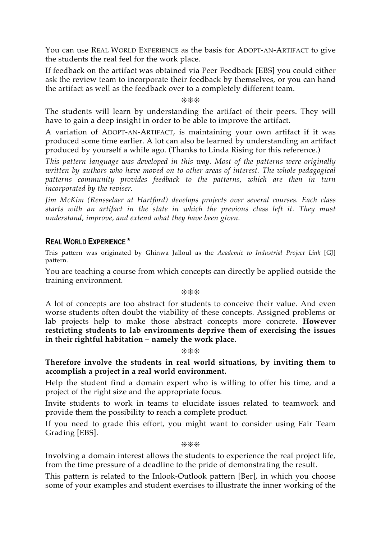You can use REAL WORLD EXPERIENCE as the basis for ADOPT-AN-ARTIFACT to give the students the real feel for the work place.

If feedback on the artifact was obtained via Peer Feedback [EBS] you could either ask the review team to incorporate their feedback by themselves, or you can hand the artifact as well as the feedback over to a completely different team.

#### ❊❊❊

The students will learn by understanding the artifact of their peers. They will have to gain a deep insight in order to be able to improve the artifact.

A variation of ADOPT-AN-ARTIFACT, is maintaining your own artifact if it was produced some time earlier. A lot can also be learned by understanding an artifact produced by yourself a while ago. (Thanks to Linda Rising for this reference.)

*This pattern language was developed in this way. Most of the patterns were originally written by authors who have moved on to other areas of interest. The whole pedagogical patterns community provides feedback to the patterns, which are then in turn incorporated by the reviser.*

*Jim McKim (Rensselaer at Hartford) develops projects over several courses. Each class starts with an artifact in the state in which the previous class left it. They must understand, improve, and extend what they have been given.*

### **REAL WORLD EXPERIENCE \***

This pattern was originated by Ghinwa Jalloul as the *Academic to Industrial Project Link* [GJ] pattern.

You are teaching a course from which concepts can directly be applied outside the training environment.

❊❊❊

A lot of concepts are too abstract for students to conceive their value. And even worse students often doubt the viability of these concepts. Assigned problems or lab projects help to make those abstract concepts more concrete. **However restricting students to lab environments deprive them of exercising the issues in their rightful habitation – namely the work place.**

❊❊❊

**Therefore involve the students in real world situations, by inviting them to accomplish a project in a real world environment.**

Help the student find a domain expert who is willing to offer his time, and a project of the right size and the appropriate focus.

Invite students to work in teams to elucidate issues related to teamwork and provide them the possibility to reach a complete product.

If you need to grade this effort, you might want to consider using Fair Team Grading [EBS].

❊❊❊

Involving a domain interest allows the students to experience the real project life, from the time pressure of a deadline to the pride of demonstrating the result.

This pattern is related to the Inlook-Outlook pattern [Ber], in which you choose some of your examples and student exercises to illustrate the inner working of the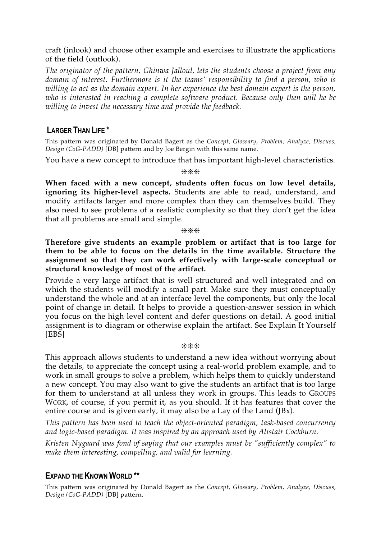craft (inlook) and choose other example and exercises to illustrate the applications of the field (outlook).

*The originator of the pattern, Ghinwa Jalloul, lets the students choose a project from any domain of interest. Furthermore is it the teams' responsibility to find a person, who is willing to act as the domain expert. In her experience the best domain expert is the person, who is interested in reaching a complete software product. Because only then will he be willing to invest the necessary time and provide the feedback.*

# **LARGER THAN LIFE \***

This pattern was originated by Donald Bagert as the *Concept, Glossary, Problem, Analyze, Discuss, Design (CoG-PADD)* [DB] pattern and by Joe Bergin with this same name.

You have a new concept to introduce that has important high-level characteristics.

❊❊❊

**When faced with a new concept, students often focus on low level details, ignoring its higher-level aspects.** Students are able to read, understand, and modify artifacts larger and more complex than they can themselves build. They also need to see problems of a realistic complexity so that they don't get the idea that all problems are small and simple.

❊❊❊

**Therefore give students an example problem or artifact that is too large for them to be able to focus on the details in the time available. Structure the assignment so that they can work effectively with large-scale conceptual or structural knowledge of most of the artifact.**

Provide a very large artifact that is well structured and well integrated and on which the students will modify a small part. Make sure they must conceptually understand the whole and at an interface level the components, but only the local point of change in detail. It helps to provide a question-answer session in which you focus on the high level content and defer questions on detail. A good initial assignment is to diagram or otherwise explain the artifact. See Explain It Yourself [EBS]

#### ❊❊❊

This approach allows students to understand a new idea without worrying about the details, to appreciate the concept using a real-world problem example, and to work in small groups to solve a problem, which helps them to quickly understand a new concept. You may also want to give the students an artifact that is too large for them to understand at all unless they work in groups. This leads to GROUPS WORK, of course, if you permit it, as you should. If it has features that cover the entire course and is given early, it may also be a Lay of the Land (JBx).

*This pattern has been used to teach the object-oriented paradigm, task-based concurrency and logic-based paradigm. It was inspired by an approach used by Alistair Cockburn.*

*Kristen Nygaard was fond of saying that our examples must be "sufficiently complex" to make them interesting, compelling, and valid for learning.*

### **EXPAND THE KNOWN WORLD \*\***

This pattern was originated by Donald Bagert as the *Concept, Glossary, Problem, Analyze, Discuss, Design (CoG-PADD)* [DB] pattern.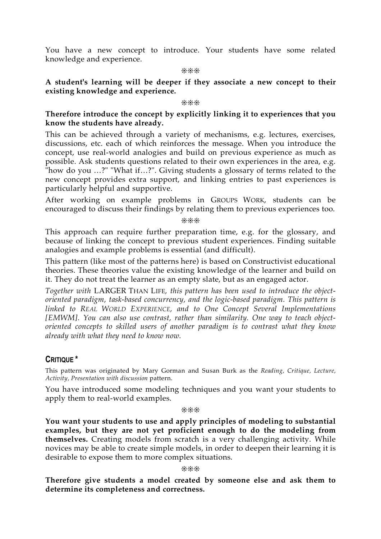You have a new concept to introduce. Your students have some related knowledge and experience.

#### ❊❊❊

#### **A student's learning will be deeper if they associate a new concept to their existing knowledge and experience.**

#### ❊❊❊

#### **Therefore introduce the concept by explicitly linking it to experiences that you know the students have already.**

This can be achieved through a variety of mechanisms, e.g. lectures, exercises, discussions, etc. each of which reinforces the message. When you introduce the concept, use real-world analogies and build on previous experience as much as possible. Ask students questions related to their own experiences in the area, e.g. "how do you …?" "What if…?". Giving students a glossary of terms related to the new concept provides extra support, and linking entries to past experiences is particularly helpful and supportive.

After working on example problems in GROUPS WORK, students can be encouraged to discuss their findings by relating them to previous experiences too.

❊❊❊

This approach can require further preparation time, e.g. for the glossary, and because of linking the concept to previous student experiences. Finding suitable analogies and example problems is essential (and difficult).

This pattern (like most of the patterns here) is based on Constructivist educational theories. These theories value the existing knowledge of the learner and build on it. They do not treat the learner as an empty slate, but as an engaged actor.

*Together with* LARGER THAN LIFE*, this pattern has been used to introduce the objectoriented paradigm, task-based concurrency, and the logic-based paradigm. This pattern is linked to REAL WORLD EXPERIENCE, and to One Concept Several Implementations [EMWM]. You can also use contrast, rather than similarity. One way to teach objectoriented concepts to skilled users of another paradigm is to contrast what they know already with what they need to know now.*

### **CRITIQUE \***

This pattern was originated by Mary Gorman and Susan Burk as the *Reading, Critique, Lecture, Activity, Presentation with discussion* pattern.

You have introduced some modeling techniques and you want your students to apply them to real-world examples.

❊❊❊

**You want your students to use and apply principles of modeling to substantial examples, but they are not yet proficient enough to do the modeling from themselves.** Creating models from scratch is a very challenging activity. While novices may be able to create simple models, in order to deepen their learning it is desirable to expose them to more complex situations.

#### ❊❊❊

**Therefore give students a model created by someone else and ask them to determine its completeness and correctness.**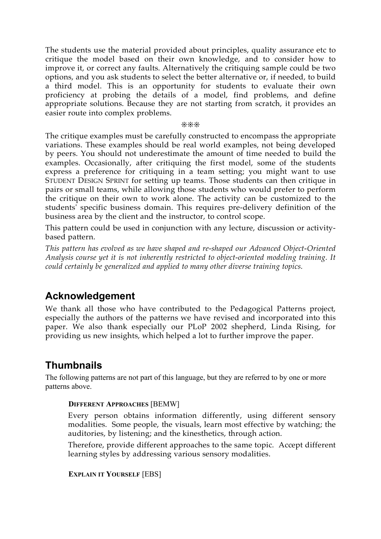The students use the material provided about principles, quality assurance etc to critique the model based on their own knowledge, and to consider how to improve it, or correct any faults. Alternatively the critiquing sample could be two options, and you ask students to select the better alternative or, if needed, to build a third model. This is an opportunity for students to evaluate their own proficiency at probing the details of a model, find problems, and define appropriate solutions. Because they are not starting from scratch, it provides an easier route into complex problems.

#### ❊❊❊

The critique examples must be carefully constructed to encompass the appropriate variations. These examples should be real world examples, not being developed by peers. You should not underestimate the amount of time needed to build the examples. Occasionally, after critiquing the first model, some of the students express a preference for critiquing in a team setting; you might want to use STUDENT DESIGN SPRINT for setting up teams. Those students can then critique in pairs or small teams, while allowing those students who would prefer to perform the critique on their own to work alone. The activity can be customized to the students' specific business domain. This requires pre-delivery definition of the business area by the client and the instructor, to control scope.

This pattern could be used in conjunction with any lecture, discussion or activitybased pattern.

*This pattern has evolved as we have shaped and re-shaped our Advanced Object-Oriented Analysis course yet it is not inherently restricted to object-oriented modeling training. It could certainly be generalized and applied to many other diverse training topics.*

# **Acknowledgement**

We thank all those who have contributed to the Pedagogical Patterns project, especially the authors of the patterns we have revised and incorporated into this paper. We also thank especially our PLoP 2002 shepherd, Linda Rising, for providing us new insights, which helped a lot to further improve the paper.

# **Thumbnails**

The following patterns are not part of this language, but they are referred to by one or more patterns above.

#### **DIFFERENT APPROACHES** [BEMW]

Every person obtains information differently, using different sensory modalities. Some people, the visuals, learn most effective by watching; the auditories, by listening; and the kinesthetics, through action.

Therefore, provide different approaches to the same topic. Accept different learning styles by addressing various sensory modalities.

**EXPLAIN IT YOURSELF** [EBS]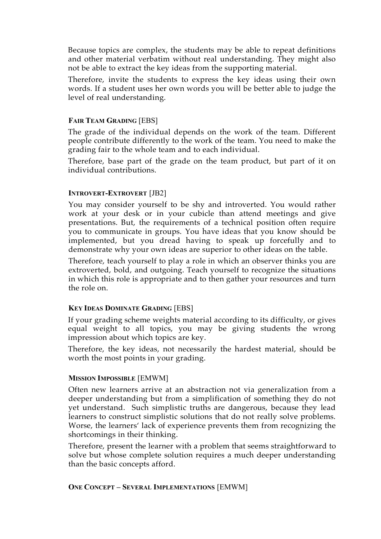Because topics are complex, the students may be able to repeat definitions and other material verbatim without real understanding. They might also not be able to extract the key ideas from the supporting material.

Therefore, invite the students to express the key ideas using their own words. If a student uses her own words you will be better able to judge the level of real understanding.

#### **FAIR TEAM GRADING** [EBS]

The grade of the individual depends on the work of the team. Different people contribute differently to the work of the team. You need to make the grading fair to the whole team and to each individual.

Therefore, base part of the grade on the team product, but part of it on individual contributions.

#### **INTROVERT-EXTROVERT** [JB2]

You may consider yourself to be shy and introverted. You would rather work at your desk or in your cubicle than attend meetings and give presentations. But, the requirements of a technical position often require you to communicate in groups. You have ideas that you know should be implemented, but you dread having to speak up forcefully and to demonstrate why your own ideas are superior to other ideas on the table.

Therefore, teach yourself to play a role in which an observer thinks you are extroverted, bold, and outgoing. Teach yourself to recognize the situations in which this role is appropriate and to then gather your resources and turn the role on.

#### **KEY IDEAS DOMINATE GRADING** [EBS]

If your grading scheme weights material according to its difficulty, or gives equal weight to all topics, you may be giving students the wrong impression about which topics are key.

Therefore, the key ideas, not necessarily the hardest material, should be worth the most points in your grading.

#### **MISSION IMPOSSIBLE** [EMWM]

Often new learners arrive at an abstraction not via generalization from a deeper understanding but from a simplification of something they do not yet understand. Such simplistic truths are dangerous, because they lead learners to construct simplistic solutions that do not really solve problems. Worse, the learners' lack of experience prevents them from recognizing the shortcomings in their thinking.

Therefore, present the learner with a problem that seems straightforward to solve but whose complete solution requires a much deeper understanding than the basic concepts afford.

#### **ONE CONCEPT – SEVERAL IMPLEMENTATIONS** [EMWM]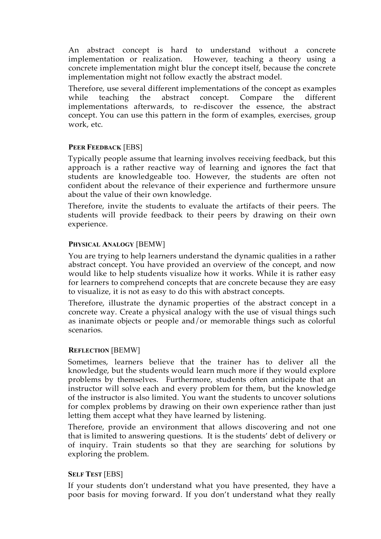An abstract concept is hard to understand without a concrete implementation or realization. However, teaching a theory using a concrete implementation might blur the concept itself, because the concrete implementation might not follow exactly the abstract model.

Therefore, use several different implementations of the concept as examples while teaching the abstract concept. Compare the different implementations afterwards, to re-discover the essence, the abstract concept. You can use this pattern in the form of examples, exercises, group work, etc.

#### **PEER FEEDBACK** [EBS]

Typically people assume that learning involves receiving feedback, but this approach is a rather reactive way of learning and ignores the fact that students are knowledgeable too. However, the students are often not confident about the relevance of their experience and furthermore unsure about the value of their own knowledge.

Therefore, invite the students to evaluate the artifacts of their peers. The students will provide feedback to their peers by drawing on their own experience.

#### **PHYSICAL ANALOGY** [BEMW]

You are trying to help learners understand the dynamic qualities in a rather abstract concept. You have provided an overview of the concept, and now would like to help students visualize how it works. While it is rather easy for learners to comprehend concepts that are concrete because they are easy to visualize, it is not as easy to do this with abstract concepts.

Therefore, illustrate the dynamic properties of the abstract concept in a concrete way. Create a physical analogy with the use of visual things such as inanimate objects or people and/or memorable things such as colorful scenarios.

#### **REFLECTION** [BEMW]

Sometimes, learners believe that the trainer has to deliver all the knowledge, but the students would learn much more if they would explore problems by themselves. Furthermore, students often anticipate that an instructor will solve each and every problem for them, but the knowledge of the instructor is also limited. You want the students to uncover solutions for complex problems by drawing on their own experience rather than just letting them accept what they have learned by listening.

Therefore, provide an environment that allows discovering and not one that is limited to answering questions. It is the students' debt of delivery or of inquiry. Train students so that they are searching for solutions by exploring the problem.

#### **SELF TEST** [EBS]

If your students don't understand what you have presented, they have a poor basis for moving forward. If you don't understand what they really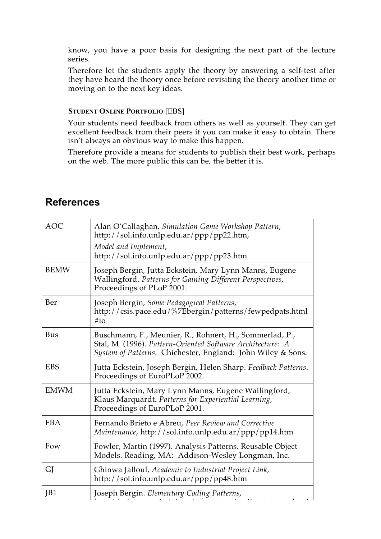know, you have a poor basis for designing the next part of the lecture series.

Therefore let the students apply the theory by answering a self-test after they have heard the theory once before revisiting the theory another time or moving on to the next key ideas.

#### **STUDENT ONLINE PORTFOLIO [EBS]**

Your students need feedback from others as well as yourself. They can get excellent feedback from their peers if you can make it easy to obtain. There isn't always an obvious way to make this happen.

Therefore provide a means for students to publish their best work, perhaps on the web. The more public this can be, the better it is.

# **References**

| <b>AOC</b>  | Alan O'Callaghan, Simulation Game Workshop Pattern,<br>http://sol.info.unlp.edu.ar/ppp/pp22.htm,<br>Model and Implement,<br>http://sol.info.unlp.edu.ar/ppp/pp23.htm                 |
|-------------|--------------------------------------------------------------------------------------------------------------------------------------------------------------------------------------|
| <b>BEMW</b> | Joseph Bergin, Jutta Eckstein, Mary Lynn Manns, Eugene<br>Wallingford. Patterns for Gaining Different Perspectives,<br>Proceedings of PLoP 2001.                                     |
| Ber         | Joseph Bergin, Some Pedagogical Patterns,<br>http://csis.pace.edu/%7Ebergin/patterns/fewpedpats.html<br>$\#$ io                                                                      |
| <b>Bus</b>  | Buschmann, F., Meunier, R., Rohnert, H., Sommerlad, P.,<br>Stal, M. (1996). Pattern-Oriented Software Architecture: A<br>System of Patterns. Chichester, England: John Wiley & Sons. |
| <b>EBS</b>  | Jutta Eckstein, Joseph Bergin, Helen Sharp. Feedback Patterns.<br>Proceedings of EuroPLoP 2002.                                                                                      |
| <b>EMWM</b> | Jutta Eckstein, Mary Lynn Manns, Eugene Wallingford,<br>Klaus Marquardt. Patterns for Experiential Learning,<br>Proceedings of EuroPLoP 2001.                                        |
| <b>FBA</b>  | Fernando Brieto e Abreu, Peer Review and Corrective<br>Maintenance, http://sol.info.unlp.edu.ar/ppp/pp14.htm                                                                         |
| Fow         | Fowler, Martin (1997). Analysis Patterns. Reusable Object<br>Models. Reading, MA: Addison-Wesley Longman, Inc.                                                                       |
| GJ          | Ghinwa Jalloul, Academic to Industrial Project Link,<br>http://sol.info.unlp.edu.ar/ppp/pp48.htm                                                                                     |
| JB1         | Joseph Bergin. Elementary Coding Patterns,                                                                                                                                           |